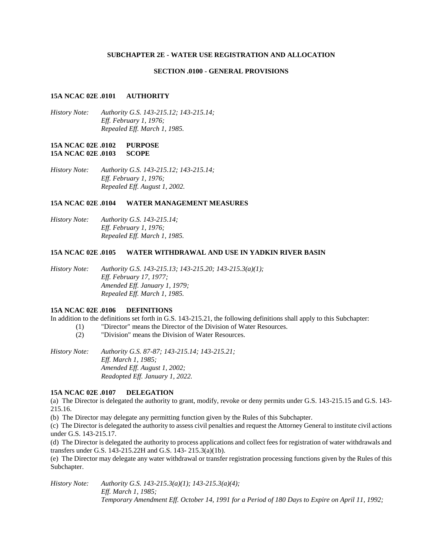#### **SUBCHAPTER 2E - WATER USE REGISTRATION AND ALLOCATION**

#### **SECTION .0100 - GENERAL PROVISIONS**

#### **15A NCAC 02E .0101 AUTHORITY**

*History Note: Authority G.S. 143-215.12; 143-215.14; Eff. February 1, 1976; Repealed Eff. March 1, 1985.*

### **15A NCAC 02E .0102 PURPOSE 15A NCAC 02E .0103 SCOPE**

*History Note: Authority G.S. 143-215.12; 143-215.14; Eff. February 1, 1976; Repealed Eff. August 1, 2002.*

### **15A NCAC 02E .0104 WATER MANAGEMENT MEASURES**

*History Note: Authority G.S. 143-215.14; Eff. February 1, 1976; Repealed Eff. March 1, 1985.*

### **15A NCAC 02E .0105 WATER WITHDRAWAL AND USE IN YADKIN RIVER BASIN**

*History Note: Authority G.S. 143-215.13; 143-215.20; 143-215.3(a)(1); Eff. February 17, 1977; Amended Eff. January 1, 1979; Repealed Eff. March 1, 1985.*

### **15A NCAC 02E .0106 DEFINITIONS**

In addition to the definitions set forth in G.S. 143-215.21, the following definitions shall apply to this Subchapter:

- (1) "Director" means the Director of the Division of Water Resources.
- (2) "Division" means the Division of Water Resources.

*History Note: Authority G.S. 87-87; 143-215.14; 143-215.21; Eff. March 1, 1985; Amended Eff. August 1, 2002; Readopted Eff. January 1, 2022.*

# **15A NCAC 02E .0107 DELEGATION**

(a) The Director is delegated the authority to grant, modify, revoke or deny permits under G.S. 143-215.15 and G.S. 143- 215.16.

(b) The Director may delegate any permitting function given by the Rules of this Subchapter.

(c) The Director is delegated the authority to assess civil penalties and request the Attorney General to institute civil actions under G.S. 143-215.17.

(d) The Director is delegated the authority to process applications and collect fees for registration of water withdrawals and transfers under G.S. 143-215.22H and G.S. 143- 215.3(a)(1b).

(e) The Director may delegate any water withdrawal or transfer registration processing functions given by the Rules of this Subchapter.

*History Note: Authority G.S. 143-215.3(a)(1); 143-215.3(a)(4); Eff. March 1, 1985; Temporary Amendment Eff. October 14, 1991 for a Period of 180 Days to Expire on April 11, 1992;*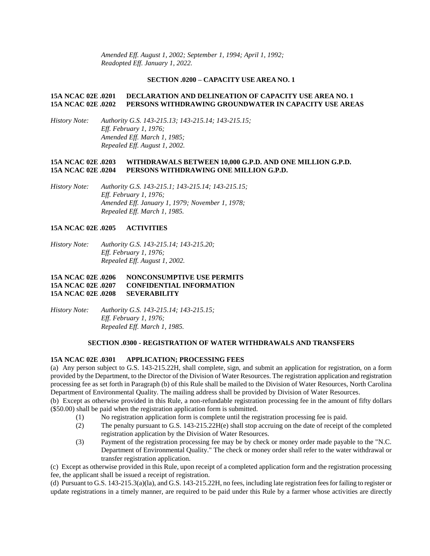*Amended Eff. August 1, 2002; September 1, 1994; April 1, 1992; Readopted Eff. January 1, 2022.*

#### **SECTION .0200 – CAPACITY USE AREA NO. 1**

## **15A NCAC 02E .0201 DECLARATION AND DELINEATION OF CAPACITY USE AREA NO. 1 15A NCAC 02E .0202 PERSONS WITHDRAWING GROUNDWATER IN CAPACITY USE AREAS**

*History Note: Authority G.S. 143-215.13; 143-215.14; 143-215.15; Eff. February 1, 1976; Amended Eff. March 1, 1985; Repealed Eff. August 1, 2002.*

# **15A NCAC 02E .0203 WITHDRAWALS BETWEEN 10,000 G.P.D. AND ONE MILLION G.P.D. 15A NCAC 02E .0204 PERSONS WITHDRAWING ONE MILLION G.P.D.**

*History Note: Authority G.S. 143-215.1; 143-215.14; 143-215.15; Eff. February 1, 1976; Amended Eff. January 1, 1979; November 1, 1978; Repealed Eff. March 1, 1985.*

### **15A NCAC 02E .0205 ACTIVITIES**

*History Note: Authority G.S. 143-215.14; 143-215.20; Eff. February 1, 1976; Repealed Eff. August 1, 2002.*

# **15A NCAC 02E .0206 NONCONSUMPTIVE USE PERMITS 15A NCAC 02E .0207 CONFIDENTIAL INFORMATION 15A NCAC 02E .0208 SEVERABILITY**

*History Note: Authority G.S. 143-215.14; 143-215.15; Eff. February 1, 1976; Repealed Eff. March 1, 1985.*

### **SECTION .0300 - REGISTRATION OF WATER WITHDRAWALS AND TRANSFERS**

### **15A NCAC 02E .0301 APPLICATION; PROCESSING FEES**

(a) Any person subject to G.S. 143-215.22H, shall complete, sign, and submit an application for registration, on a form provided by the Department, to the Director of the Division of Water Resources. The registration application and registration processing fee as set forth in Paragraph (b) of this Rule shall be mailed to the Division of Water Resources, North Carolina Department of Environmental Quality. The mailing address shall be provided by Division of Water Resources.

(b) Except as otherwise provided in this Rule, a non-refundable registration processing fee in the amount of fifty dollars (\$50.00) shall be paid when the registration application form is submitted.

- (1) No registration application form is complete until the registration processing fee is paid.
- (2) The penalty pursuant to G.S. 143-215.22H(e) shall stop accruing on the date of receipt of the completed registration application by the Division of Water Resources.
- (3) Payment of the registration processing fee may be by check or money order made payable to the "N.C. Department of Environmental Quality." The check or money order shall refer to the water withdrawal or transfer registration application.

(c) Except as otherwise provided in this Rule, upon receipt of a completed application form and the registration processing fee, the applicant shall be issued a receipt of registration.

(d) Pursuant to G.S. 143-215.3(a)(la), and G.S. 143-215.22H, no fees, including late registration fees for failing to register or update registrations in a timely manner, are required to be paid under this Rule by a farmer whose activities are directly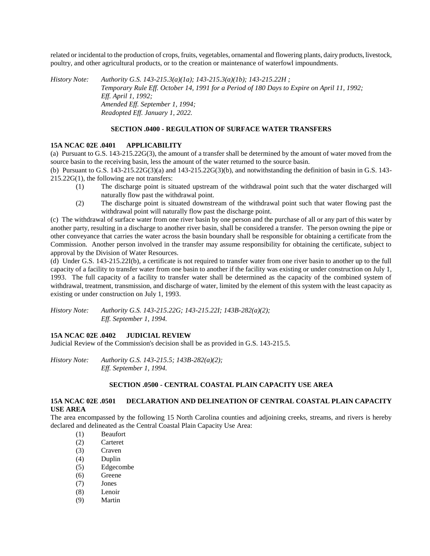related or incidental to the production of crops, fruits, vegetables, ornamental and flowering plants, dairy products, livestock, poultry, and other agricultural products, or to the creation or maintenance of waterfowl impoundments.

*History Note: Authority G.S. 143-215.3(a)(1a); 143-215.3(a)(1b); 143-215.22H ; Temporary Rule Eff. October 14, 1991 for a Period of 180 Days to Expire on April 11, 1992; Eff. April 1, 1992; Amended Eff. September 1, 1994; Readopted Eff. January 1, 2022.*

### **SECTION .0400 - REGULATION OF SURFACE WATER TRANSFERS**

#### **15A NCAC 02E .0401 APPLICABILITY**

(a) Pursuant to G.S. 143-215.22G(3), the amount of a transfer shall be determined by the amount of water moved from the source basin to the receiving basin, less the amount of the water returned to the source basin.

(b) Pursuant to G.S.  $143-215.22G(3)(a)$  and  $143-215.22G(3)(b)$ , and notwithstanding the definition of basin in G.S.  $143-215.22G(3)(a)$ 215.22G(1), the following are not transfers:

- (1) The discharge point is situated upstream of the withdrawal point such that the water discharged will naturally flow past the withdrawal point.
- (2) The discharge point is situated downstream of the withdrawal point such that water flowing past the withdrawal point will naturally flow past the discharge point.

(c) The withdrawal of surface water from one river basin by one person and the purchase of all or any part of this water by another party, resulting in a discharge to another river basin, shall be considered a transfer. The person owning the pipe or other conveyance that carries the water across the basin boundary shall be responsible for obtaining a certificate from the Commission. Another person involved in the transfer may assume responsibility for obtaining the certificate, subject to approval by the Division of Water Resources.

(d) Under G.S. 143-215.22I(b), a certificate is not required to transfer water from one river basin to another up to the full capacity of a facility to transfer water from one basin to another if the facility was existing or under construction on July 1, 1993. The full capacity of a facility to transfer water shall be determined as the capacity of the combined system of withdrawal, treatment, transmission, and discharge of water, limited by the element of this system with the least capacity as existing or under construction on July 1, 1993.

*History Note: Authority G.S. 143-215.22G; 143-215.22I; 143B-282(a)(2); Eff. September 1, 1994.*

# **15A NCAC 02E .0402 JUDICIAL REVIEW**

Judicial Review of the Commission's decision shall be as provided in G.S. 143-215.5.

*History Note: Authority G.S. 143-215.5; 143B-282(a)(2); Eff. September 1, 1994.*

### **SECTION .0500 - CENTRAL COASTAL PLAIN CAPACITY USE AREA**

# **15A NCAC 02E .0501 DECLARATION AND DELINEATION OF CENTRAL COASTAL PLAIN CAPACITY USE AREA**

The area encompassed by the following 15 North Carolina counties and adjoining creeks, streams, and rivers is hereby declared and delineated as the Central Coastal Plain Capacity Use Area:

- (1) Beaufort
- (2) Carteret
- (3) Craven
- (4) Duplin
- (5) Edgecombe
- (6) Greene
- (7) Jones
- (8) Lenoir
- (9) Martin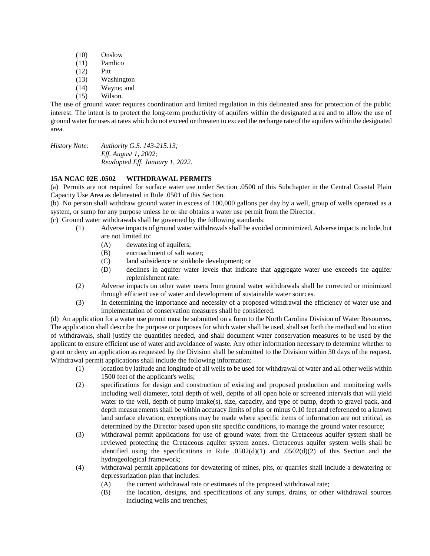- (10) Onslow
- (11) Pamlico
- (12) Pitt
- (13) Washington
- (14) Wayne; and
- (15) Wilson.

The use of ground water requires coordination and limited regulation in this delineated area for protection of the public interest. The intent is to protect the long-term productivity of aquifers within the designated area and to allow the use of ground water for uses at rates which do not exceed or threaten to exceed the recharge rate of the aquifers within the designated area.

*History Note: Authority G.S. 143-215.13; Eff. August 1, 2002; Readopted Eff. January 1, 2022.*

# **15A NCAC 02E .0502 WITHDRAWAL PERMITS**

(a) Permits are not required for surface water use under Section .0500 of this Subchapter in the Central Coastal Plain Capacity Use Area as delineated in Rule .0501 of this Section.

(b) No person shall withdraw ground water in excess of 100,000 gallons per day by a well, group of wells operated as a system, or sump for any purpose unless he or she obtains a water use permit from the Director.

(c) Ground water withdrawals shall be governed by the following standards:

- (1) Adverse impacts of ground water withdrawals shall be avoided or minimized. Adverse impacts include, but are not limited to:
	- (A) dewatering of aquifers;
	- (B) encroachment of salt water;
	- (C) land subsidence or sinkhole development; or
	- (D) declines in aquifer water levels that indicate that aggregate water use exceeds the aquifer replenishment rate.
- (2) Adverse impacts on other water users from ground water withdrawals shall be corrected or minimized through efficient use of water and development of sustainable water sources.
- (3) In determining the importance and necessity of a proposed withdrawal the efficiency of water use and implementation of conservation measures shall be considered.

(d) An application for a water use permit must be submitted on a form to the North Carolina Division of Water Resources. The application shall describe the purpose or purposes for which water shall be used, shall set forth the method and location of withdrawals, shall justify the quantities needed, and shall document water conservation measures to be used by the applicant to ensure efficient use of water and avoidance of waste. Any other information necessary to determine whether to grant or deny an application as requested by the Division shall be submitted to the Division within 30 days of the request. Withdrawal permit applications shall include the following information:

- (1) location by latitude and longitude of all wells to be used for withdrawal of water and all other wells within 1500 feet of the applicant's wells;
- (2) specifications for design and construction of existing and proposed production and monitoring wells including well diameter, total depth of well, depths of all open hole or screened intervals that will yield water to the well, depth of pump intake(s), size, capacity, and type of pump, depth to gravel pack, and depth measurements shall be within accuracy limits of plus or minus 0.10 feet and referenced to a known land surface elevation; exceptions may be made where specific items of information are not critical, as determined by the Director based upon site specific conditions, to manage the ground water resource;
- (3) withdrawal permit applications for use of ground water from the Cretaceous aquifer system shall be reviewed protecting the Cretaceous aquifer system zones. Cretaceous aquifer system wells shall be identified using the specifications in Rule  $.0502(d)(1)$  and  $.0502(d)(2)$  of this Section and the hydrogeological framework;
- (4) withdrawal permit applications for dewatering of mines, pits, or quarries shall include a dewatering or depressurization plan that includes:
	- (A) the current withdrawal rate or estimates of the proposed withdrawal rate;
	- (B) the location, designs, and specifications of any sumps, drains, or other withdrawal sources including wells and trenches;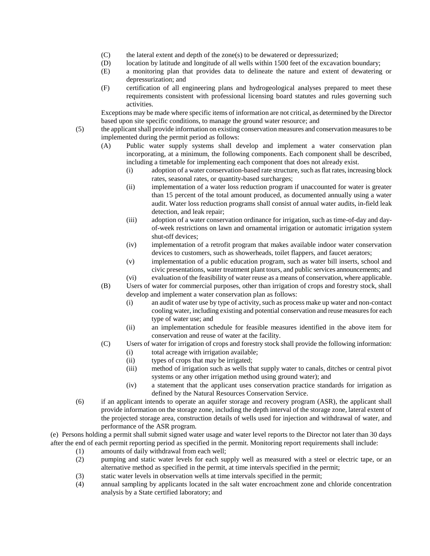- (C) the lateral extent and depth of the zone(s) to be dewatered or depressurized;
- (D) location by latitude and longitude of all wells within 1500 feet of the excavation boundary;
- (E) a monitoring plan that provides data to delineate the nature and extent of dewatering or depressurization; and
- (F) certification of all engineering plans and hydrogeological analyses prepared to meet these requirements consistent with professional licensing board statutes and rules governing such activities.

Exceptions may be made where specific items of information are not critical, as determined by the Director based upon site specific conditions, to manage the ground water resource; and

- (5) the applicant shall provide information on existing conservation measures and conservation measures to be implemented during the permit period as follows:
	- (A) Public water supply systems shall develop and implement a water conservation plan incorporating, at a minimum, the following components. Each component shall be described, including a timetable for implementing each component that does not already exist.
		- (i) adoption of a water conservation-based rate structure, such as flat rates, increasing block rates, seasonal rates, or quantity-based surcharges;
		- (ii) implementation of a water loss reduction program if unaccounted for water is greater than 15 percent of the total amount produced, as documented annually using a water audit. Water loss reduction programs shall consist of annual water audits, in-field leak detection, and leak repair;
		- (iii) adoption of a water conservation ordinance for irrigation, such as time-of-day and dayof-week restrictions on lawn and ornamental irrigation or automatic irrigation system shut-off devices;
		- (iv) implementation of a retrofit program that makes available indoor water conservation devices to customers, such as showerheads, toilet flappers, and faucet aerators;
		- (v) implementation of a public education program, such as water bill inserts, school and civic presentations, water treatment plant tours, and public services announcements; and
	- (vi) evaluation of the feasibility of water reuse as a means of conservation, where applicable. (B) Users of water for commercial purposes, other than irrigation of crops and forestry stock, shall
	- develop and implement a water conservation plan as follows:
		- (i) an audit of water use by type of activity, such as process make up water and non-contact cooling water, including existing and potential conservation and reuse measures for each type of water use; and
		- (ii) an implementation schedule for feasible measures identified in the above item for conservation and reuse of water at the facility.
	- (C) Users of water for irrigation of crops and forestry stock shall provide the following information:
		- (i) total acreage with irrigation available;
		- (ii) types of crops that may be irrigated;
		- (iii) method of irrigation such as wells that supply water to canals, ditches or central pivot systems or any other irrigation method using ground water); and
		- (iv) a statement that the applicant uses conservation practice standards for irrigation as defined by the Natural Resources Conservation Service.
- (6) if an applicant intends to operate an aquifer storage and recovery program (ASR), the applicant shall provide information on the storage zone, including the depth interval of the storage zone, lateral extent of the projected storage area, construction details of wells used for injection and withdrawal of water, and performance of the ASR program.

(e) Persons holding a permit shall submit signed water usage and water level reports to the Director not later than 30 days after the end of each permit reporting period as specified in the permit. Monitoring report requirements shall include:

- (1) amounts of daily withdrawal from each well;
- (2) pumping and static water levels for each supply well as measured with a steel or electric tape, or an alternative method as specified in the permit, at time intervals specified in the permit;
- (3) static water levels in observation wells at time intervals specified in the permit;
- (4) annual sampling by applicants located in the salt water encroachment zone and chloride concentration analysis by a State certified laboratory; and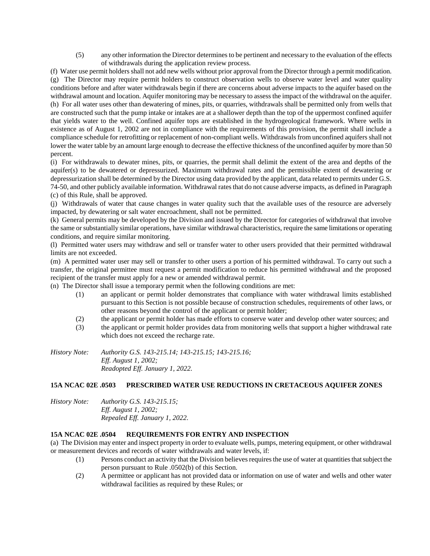(5) any other information the Director determines to be pertinent and necessary to the evaluation of the effects of withdrawals during the application review process.

(f) Water use permit holders shall not add new wells without prior approval from the Director through a permit modification. (g) The Director may require permit holders to construct observation wells to observe water level and water quality conditions before and after water withdrawals begin if there are concerns about adverse impacts to the aquifer based on the withdrawal amount and location. Aquifer monitoring may be necessary to assess the impact of the withdrawal on the aquifer. (h) For all water uses other than dewatering of mines, pits, or quarries, withdrawals shall be permitted only from wells that are constructed such that the pump intake or intakes are at a shallower depth than the top of the uppermost confined aquifer that yields water to the well. Confined aquifer tops are established in the hydrogeological framework. Where wells in existence as of August 1, 2002 are not in compliance with the requirements of this provision, the permit shall include a compliance schedule for retrofitting or replacement of non-compliant wells. Withdrawals from unconfined aquifers shall not lower the water table by an amount large enough to decrease the effective thickness of the unconfined aquifer by more than 50 percent.

(i) For withdrawals to dewater mines, pits, or quarries, the permit shall delimit the extent of the area and depths of the aquifer(s) to be dewatered or depressurized. Maximum withdrawal rates and the permissible extent of dewatering or depressurization shall be determined by the Director using data provided by the applicant, data related to permits under G.S. 74-50, and other publicly available information. Withdrawal rates that do not cause adverse impacts, as defined in Paragraph (c) of this Rule, shall be approved.

(j) Withdrawals of water that cause changes in water quality such that the available uses of the resource are adversely impacted, by dewatering or salt water encroachment, shall not be permitted.

(k) General permits may be developed by the Division and issued by the Director for categories of withdrawal that involve the same or substantially similar operations, have similar withdrawal characteristics, require the same limitations or operating conditions, and require similar monitoring.

(l) Permitted water users may withdraw and sell or transfer water to other users provided that their permitted withdrawal limits are not exceeded.

(m) A permitted water user may sell or transfer to other users a portion of his permitted withdrawal. To carry out such a transfer, the original permittee must request a permit modification to reduce his permitted withdrawal and the proposed recipient of the transfer must apply for a new or amended withdrawal permit.

(n) The Director shall issue a temporary permit when the following conditions are met:

- (1) an applicant or permit holder demonstrates that compliance with water withdrawal limits established pursuant to this Section is not possible because of construction schedules, requirements of other laws, or other reasons beyond the control of the applicant or permit holder;
- (2) the applicant or permit holder has made efforts to conserve water and develop other water sources; and
- (3) the applicant or permit holder provides data from monitoring wells that support a higher withdrawal rate which does not exceed the recharge rate.

*History Note: Authority G.S. 143-215.14; 143-215.15; 143-215.16; Eff. August 1, 2002; Readopted Eff. January 1, 2022.*

#### **15A NCAC 02E .0503 PRESCRIBED WATER USE REDUCTIONS IN CRETACEOUS AQUIFER ZONES**

*History Note: Authority G.S. 143-215.15; Eff. August 1, 2002; Repealed Eff. January 1, 2022.*

#### **15A NCAC 02E .0504 REQUIREMENTS FOR ENTRY AND INSPECTION**

(a) The Division may enter and inspect property in order to evaluate wells, pumps, metering equipment, or other withdrawal or measurement devices and records of water withdrawals and water levels, if:

- (1) Persons conduct an activity that the Division believes requires the use of water at quantities that subject the person pursuant to Rule .0502(b) of this Section.
- (2) A permittee or applicant has not provided data or information on use of water and wells and other water withdrawal facilities as required by these Rules; or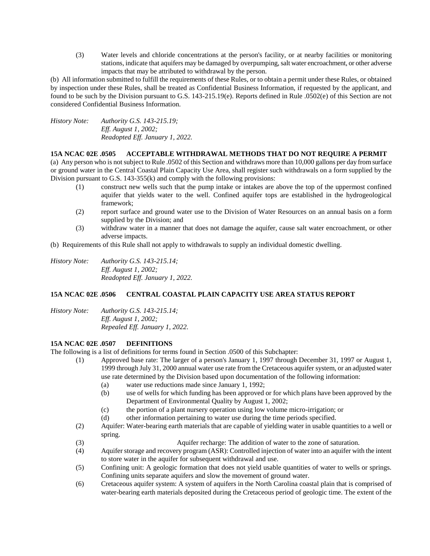(3) Water levels and chloride concentrations at the person's facility, or at nearby facilities or monitoring stations, indicate that aquifers may be damaged by overpumping, salt water encroachment, or other adverse impacts that may be attributed to withdrawal by the person.

(b) All information submitted to fulfill the requirements of these Rules, or to obtain a permit under these Rules, or obtained by inspection under these Rules, shall be treated as Confidential Business Information, if requested by the applicant, and found to be such by the Division pursuant to G.S. 143-215.19(e). Reports defined in Rule .0502(e) of this Section are not considered Confidential Business Information.

*History Note: Authority G.S. 143-215.19; Eff. August 1, 2002; Readopted Eff. January 1, 2022.*

### **15A NCAC 02E .0505 ACCEPTABLE WITHDRAWAL METHODS THAT DO NOT REQUIRE A PERMIT**

(a) Any person who is not subject to Rule .0502 of this Section and withdraws more than 10,000 gallons per day from surface or ground water in the Central Coastal Plain Capacity Use Area, shall register such withdrawals on a form supplied by the Division pursuant to G.S. 143-355(k) and comply with the following provisions:

- (1) construct new wells such that the pump intake or intakes are above the top of the uppermost confined aquifer that yields water to the well. Confined aquifer tops are established in the hydrogeological framework;
- (2) report surface and ground water use to the Division of Water Resources on an annual basis on a form supplied by the Division; and
- (3) withdraw water in a manner that does not damage the aquifer, cause salt water encroachment, or other adverse impacts.
- (b) Requirements of this Rule shall not apply to withdrawals to supply an individual domestic dwelling.
- *History Note: Authority G.S. 143-215.14; Eff. August 1, 2002; Readopted Eff. January 1, 2022.*

# **15A NCAC 02E .0506 CENTRAL COASTAL PLAIN CAPACITY USE AREA STATUS REPORT**

*History Note: Authority G.S. 143-215.14; Eff. August 1, 2002; Repealed Eff. January 1, 2022.*

# **15A NCAC 02E .0507 DEFINITIONS**

The following is a list of definitions for terms found in Section .0500 of this Subchapter:

- (1) Approved base rate: The larger of a person's January 1, 1997 through December 31, 1997 or August 1, 1999 through July 31, 2000 annual water use rate from the Cretaceous aquifer system, or an adjusted water use rate determined by the Division based upon documentation of the following information:
	- (a) water use reductions made since January 1, 1992;
	- (b) use of wells for which funding has been approved or for which plans have been approved by the Department of Environmental Quality by August 1, 2002;
	- (c) the portion of a plant nursery operation using low volume micro-irrigation; or
	- (d) other information pertaining to water use during the time periods specified.
- (2) Aquifer: Water-bearing earth materials that are capable of yielding water in usable quantities to a well or spring.
- (3) Aquifer recharge: The addition of water to the zone of saturation.
- (4) Aquifer storage and recovery program (ASR): Controlled injection of water into an aquifer with the intent to store water in the aquifer for subsequent withdrawal and use.
- (5) Confining unit: A geologic formation that does not yield usable quantities of water to wells or springs. Confining units separate aquifers and slow the movement of ground water.
- (6) Cretaceous aquifer system: A system of aquifers in the North Carolina coastal plain that is comprised of water-bearing earth materials deposited during the Cretaceous period of geologic time. The extent of the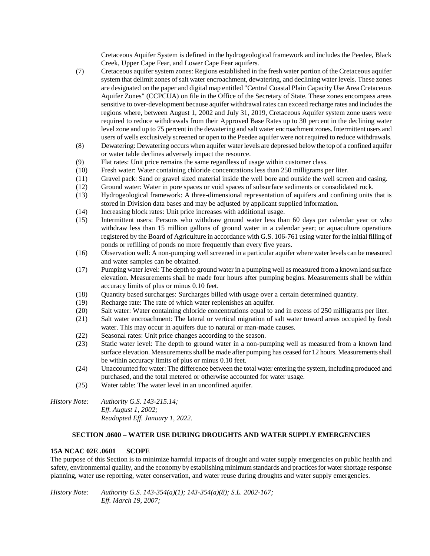Cretaceous Aquifer System is defined in the hydrogeological framework and includes the Peedee, Black Creek, Upper Cape Fear, and Lower Cape Fear aquifers.

- (7) Cretaceous aquifer system zones: Regions established in the fresh water portion of the Cretaceous aquifer system that delimit zones of salt water encroachment, dewatering, and declining water levels. These zones are designated on the paper and digital map entitled "Central Coastal Plain Capacity Use Area Cretaceous Aquifer Zones" (CCPCUA) on file in the Office of the Secretary of State. These zones encompass areas sensitive to over-development because aquifer withdrawal rates can exceed recharge rates and includes the regions where, between August 1, 2002 and July 31, 2019, Cretaceous Aquifer system zone users were required to reduce withdrawals from their Approved Base Rates up to 30 percent in the declining water level zone and up to 75 percent in the dewatering and salt water encroachment zones. Intermittent users and users of wells exclusively screened or open to the Peedee aquifer were not required to reduce withdrawals.
- (8) Dewatering: Dewatering occurs when aquifer water levels are depressed below the top of a confined aquifer or water table declines adversely impact the resource.
- (9) Flat rates: Unit price remains the same regardless of usage within customer class.
- (10) Fresh water: Water containing chloride concentrations less than 250 milligrams per liter.
- (11) Gravel pack: Sand or gravel sized material inside the well bore and outside the well screen and casing.
- (12) Ground water: Water in pore spaces or void spaces of subsurface sediments or consolidated rock.
- (13) Hydrogeological framework: A three-dimensional representation of aquifers and confining units that is stored in Division data bases and may be adjusted by applicant supplied information.
- (14) Increasing block rates: Unit price increases with additional usage.
- (15) Intermittent users: Persons who withdraw ground water less than 60 days per calendar year or who withdraw less than 15 million gallons of ground water in a calendar year; or aquaculture operations registered by the Board of Agriculture in accordance with G.S. 106-761 using water for the initial filling of ponds or refilling of ponds no more frequently than every five years.
- (16) Observation well: A non-pumping well screened in a particular aquifer where water levels can be measured and water samples can be obtained.
- (17) Pumping water level: The depth to ground water in a pumping well as measured from a known land surface elevation. Measurements shall be made four hours after pumping begins. Measurements shall be within accuracy limits of plus or minus 0.10 feet.
- (18) Quantity based surcharges: Surcharges billed with usage over a certain determined quantity.
- (19) Recharge rate: The rate of which water replenishes an aquifer.
- (20) Salt water: Water containing chloride concentrations equal to and in excess of 250 milligrams per liter.
- (21) Salt water encroachment: The lateral or vertical migration of salt water toward areas occupied by fresh water. This may occur in aquifers due to natural or man-made causes.
- (22) Seasonal rates: Unit price changes according to the season.
- (23) Static water level: The depth to ground water in a non-pumping well as measured from a known land surface elevation. Measurements shall be made after pumping has ceased for 12 hours. Measurements shall be within accuracy limits of plus or minus 0.10 feet.
- (24) Unaccounted for water: The difference between the total water entering the system, including produced and purchased, and the total metered or otherwise accounted for water usage.
- (25) Water table: The water level in an unconfined aquifer.
- *History Note: Authority G.S. 143-215.14; Eff. August 1, 2002; Readopted Eff. January 1, 2022.*

# **SECTION .0600 – WATER USE DURING DROUGHTS AND WATER SUPPLY EMERGENCIES**

### **15A NCAC 02E .0601 SCOPE**

The purpose of this Section is to minimize harmful impacts of drought and water supply emergencies on public health and safety, environmental quality, and the economy by establishing minimum standards and practices for water shortage response planning, water use reporting, water conservation, and water reuse during droughts and water supply emergencies.

*History Note: Authority G.S. 143-354(a)(1); 143-354(a)(8); S.L. 2002-167; Eff. March 19, 2007;*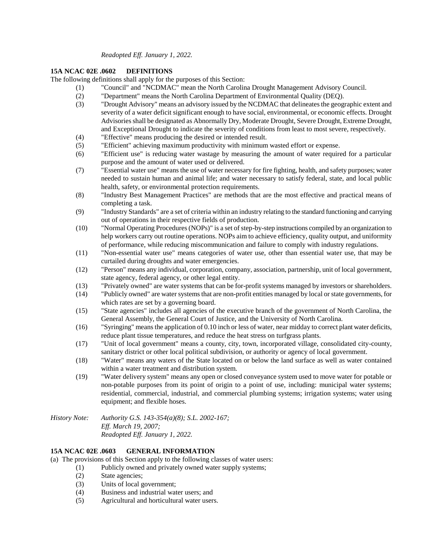# **15A NCAC 02E .0602 DEFINITIONS**

The following definitions shall apply for the purposes of this Section:

- (1) "Council" and "NCDMAC" mean the North Carolina Drought Management Advisory Council.
	- (2) "Department" means the North Carolina Department of Environmental Quality (DEQ).
	- (3) "Drought Advisory" means an advisory issued by the NCDMAC that delineates the geographic extent and severity of a water deficit significant enough to have social, environmental, or economic effects. Drought Advisories shall be designated as Abnormally Dry, Moderate Drought, Severe Drought, Extreme Drought, and Exceptional Drought to indicate the severity of conditions from least to most severe, respectively.
	- (4) "Effective" means producing the desired or intended result.
	- (5) "Efficient" achieving maximum productivity with minimum wasted effort or expense.
	- (6) "Efficient use" is reducing water wastage by measuring the amount of water required for a particular purpose and the amount of water used or delivered.
	- (7) "Essential water use" means the use of water necessary for fire fighting, health, and safety purposes; water needed to sustain human and animal life; and water necessary to satisfy federal, state, and local public health, safety, or environmental protection requirements.
	- (8) "Industry Best Management Practices" are methods that are the most effective and practical means of completing a task.
	- (9) "Industry Standards" are a set of criteria within an industry relating to the standard functioning and carrying out of operations in their respective fields of production.
	- (10) "Normal Operating Procedures (NOPs)" is a set of step-by-step instructions compiled by an organization to help workers carry out routine operations. NOPs aim to achieve efficiency, quality output, and uniformity of performance, while reducing miscommunication and failure to comply with industry regulations.
	- (11) "Non-essential water use" means categories of water use, other than essential water use, that may be curtailed during droughts and water emergencies.
	- (12) "Person" means any individual, corporation, company, association, partnership, unit of local government, state agency, federal agency, or other legal entity.
	- (13) "Privately owned" are water systems that can be for-profit systems managed by investors or shareholders.
	- (14) "Publicly owned" are water systems that are non-profit entities managed by local or state governments, for which rates are set by a governing board.
	- (15) "State agencies" includes all agencies of the executive branch of the government of North Carolina, the General Assembly, the General Court of Justice, and the University of North Carolina.
	- (16) "Syringing" means the application of 0.10 inch or less of water, near midday to correct plant water deficits, reduce plant tissue temperatures, and reduce the heat stress on turfgrass plants.
	- (17) "Unit of local government" means a county, city, town, incorporated village, consolidated city-county, sanitary district or other local political subdivision, or authority or agency of local government.
	- (18) "Water" means any waters of the State located on or below the land surface as well as water contained within a water treatment and distribution system.
	- (19) "Water delivery system" means any open or closed conveyance system used to move water for potable or non-potable purposes from its point of origin to a point of use, including: municipal water systems; residential, commercial, industrial, and commercial plumbing systems; irrigation systems; water using equipment; and flexible hoses.

*History Note: Authority G.S. 143-354(a)(8); S.L. 2002-167; Eff. March 19, 2007; Readopted Eff. January 1, 2022.*

# **15A NCAC 02E .0603 GENERAL INFORMATION**

(a) The provisions of this Section apply to the following classes of water users:

- (1) Publicly owned and privately owned water supply systems;
- (2) State agencies;
- (3) Units of local government;
- (4) Business and industrial water users; and
- (5) Agricultural and horticultural water users.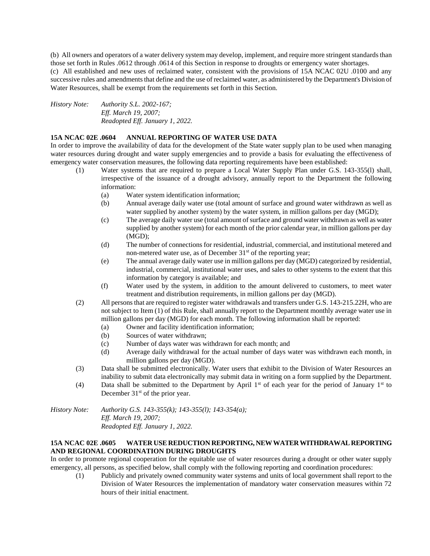(b) All owners and operators of a water delivery system may develop, implement, and require more stringent standards than those set forth in Rules .0612 through .0614 of this Section in response to droughts or emergency water shortages. (c) All established and new uses of reclaimed water, consistent with the provisions of 15A NCAC 02U .0100 and any successive rules and amendments that define and the use of reclaimed water, as administered by the Department's Division of

*History Note: Authority S.L. 2002-167; Eff. March 19, 2007; Readopted Eff. January 1, 2022.*

# **15A NCAC 02E .0604 ANNUAL REPORTING OF WATER USE DATA**

Water Resources, shall be exempt from the requirements set forth in this Section.

In order to improve the availability of data for the development of the State water supply plan to be used when managing water resources during drought and water supply emergencies and to provide a basis for evaluating the effectiveness of emergency water conservation measures, the following data reporting requirements have been established:

- (1) Water systems that are required to prepare a Local Water Supply Plan under G.S. 143-355(l) shall, irrespective of the issuance of a drought advisory, annually report to the Department the following information:
	- (a) Water system identification information;
	- (b) Annual average daily water use (total amount of surface and ground water withdrawn as well as water supplied by another system) by the water system, in million gallons per day (MGD);
	- (c) The average daily water use (total amount of surface and ground water withdrawn as well as water supplied by another system) for each month of the prior calendar year, in million gallons per day (MGD);
	- (d) The number of connections for residential, industrial, commercial, and institutional metered and non-metered water use, as of December  $31<sup>st</sup>$  of the reporting year;
	- (e) The annual average daily water use in million gallons per day (MGD) categorized by residential, industrial, commercial, institutional water uses, and sales to other systems to the extent that this information by category is available; and
	- (f) Water used by the system, in addition to the amount delivered to customers, to meet water treatment and distribution requirements, in million gallons per day (MGD).
- (2) All persons that are required to register water withdrawals and transfers under G.S. 143-215.22H, who are not subject to Item (1) of this Rule, shall annually report to the Department monthly average water use in million gallons per day (MGD) for each month. The following information shall be reported:
	- (a) Owner and facility identification information;
	- (b) Sources of water withdrawn;
	- (c) Number of days water was withdrawn for each month; and
	- (d) Average daily withdrawal for the actual number of days water was withdrawn each month, in million gallons per day (MGD).
- (3) Data shall be submitted electronically. Water users that exhibit to the Division of Water Resources an inability to submit data electronically may submit data in writing on a form supplied by the Department.
- (4) Data shall be submitted to the Department by April  $1<sup>st</sup>$  of each year for the period of January  $1<sup>st</sup>$  to December  $31<sup>st</sup>$  of the prior year.

*History Note: Authority G.S. 143-355(k); 143-355(l); 143-354(a); Eff. March 19, 2007; Readopted Eff. January 1, 2022.*

### **15A NCAC 02E .0605 WATER USE REDUCTION REPORTING, NEW WATER WITHDRAWAL REPORTING AND REGIONAL COORDINATION DURING DROUGHTS**

In order to promote regional cooperation for the equitable use of water resources during a drought or other water supply emergency, all persons, as specified below, shall comply with the following reporting and coordination procedures:

(1) Publicly and privately owned community water systems and units of local government shall report to the Division of Water Resources the implementation of mandatory water conservation measures within 72 hours of their initial enactment.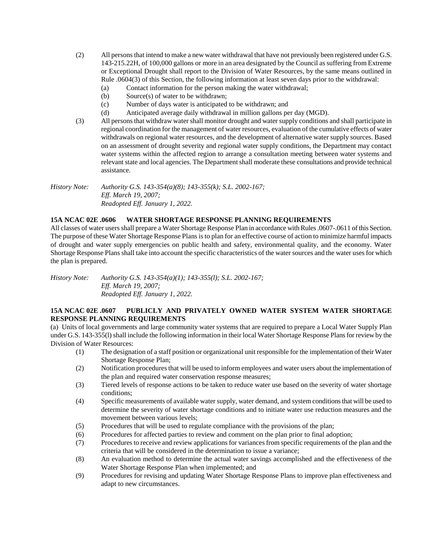- (2) All persons that intend to make a new water withdrawal that have not previously been registered under G.S. 143-215.22H, of 100,000 gallons or more in an area designated by the Council as suffering from Extreme or Exceptional Drought shall report to the Division of Water Resources, by the same means outlined in Rule .0604(3) of this Section, the following information at least seven days prior to the withdrawal:
	- (a) Contact information for the person making the water withdrawal;
	- (b) Source(s) of water to be withdrawn;
	- (c) Number of days water is anticipated to be withdrawn; and
	- (d) Anticipated average daily withdrawal in million gallons per day (MGD).
- (3) All persons that withdraw water shall monitor drought and water supply conditions and shall participate in regional coordination for the management of water resources, evaluation of the cumulative effects of water withdrawals on regional water resources, and the development of alternative water supply sources. Based on an assessment of drought severity and regional water supply conditions, the Department may contact water systems within the affected region to arrange a consultation meeting between water systems and relevant state and local agencies. The Department shall moderate these consultations and provide technical assistance.

*History Note: Authority G.S. 143-354(a)(8); 143-355(k); S.L. 2002-167; Eff. March 19, 2007; Readopted Eff. January 1, 2022.*

### **15A NCAC 02E .0606 WATER SHORTAGE RESPONSE PLANNING REQUIREMENTS**

All classes of water users shall prepare a Water Shortage Response Plan in accordance with Rules .0607-.0611 of this Section. The purpose of these Water Shortage Response Plans is to plan for an effective course of action to minimize harmful impacts of drought and water supply emergencies on public health and safety, environmental quality, and the economy. Water Shortage Response Plans shall take into account the specific characteristics of the water sources and the water uses for which the plan is prepared.

*History Note: Authority G.S. 143-354(a)(1); 143-355(l); S.L. 2002-167; Eff. March 19, 2007; Readopted Eff. January 1, 2022.*

### **15A NCAC 02E .0607 PUBLICLY AND PRIVATELY OWNED WATER SYSTEM WATER SHORTAGE RESPONSE PLANNING REQUIREMENTS**

(a) Units of local governments and large community water systems that are required to prepare a Local Water Supply Plan under G.S. 143-355(l) shall include the following information in their local Water Shortage Response Plans for review by the Division of Water Resources:

- (1) The designation of a staff position or organizational unit responsible for the implementation of their Water Shortage Response Plan;
- (2) Notification procedures that will be used to inform employees and water users about the implementation of the plan and required water conservation response measures;
- (3) Tiered levels of response actions to be taken to reduce water use based on the severity of water shortage conditions;
- (4) Specific measurements of available water supply, water demand, and system conditions that will be used to determine the severity of water shortage conditions and to initiate water use reduction measures and the movement between various levels;
- (5) Procedures that will be used to regulate compliance with the provisions of the plan;
- (6) Procedures for affected parties to review and comment on the plan prior to final adoption;
- (7) Procedures to receive and review applications for variances from specific requirements of the plan and the criteria that will be considered in the determination to issue a variance;
- (8) An evaluation method to determine the actual water savings accomplished and the effectiveness of the Water Shortage Response Plan when implemented; and
- (9) Procedures for revising and updating Water Shortage Response Plans to improve plan effectiveness and adapt to new circumstances.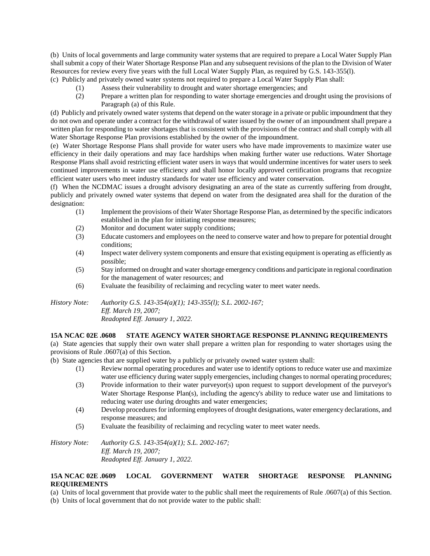(b) Units of local governments and large community water systems that are required to prepare a Local Water Supply Plan shall submit a copy of their Water Shortage Response Plan and any subsequent revisions of the plan to the Division of Water Resources for review every five years with the full Local Water Supply Plan, as required by G.S. 143-355(l).

- (c) Publicly and privately owned water systems not required to prepare a Local Water Supply Plan shall:
	- (1) Assess their vulnerability to drought and water shortage emergencies; and
	- (2) Prepare a written plan for responding to water shortage emergencies and drought using the provisions of Paragraph (a) of this Rule.

(d) Publicly and privately owned water systems that depend on the water storage in a private or public impoundment that they do not own and operate under a contract for the withdrawal of water issued by the owner of an impoundment shall prepare a written plan for responding to water shortages that is consistent with the provisions of the contract and shall comply with all Water Shortage Response Plan provisions established by the owner of the impoundment.

(e) Water Shortage Response Plans shall provide for water users who have made improvements to maximize water use efficiency in their daily operations and may face hardships when making further water use reductions. Water Shortage Response Plans shall avoid restricting efficient water users in ways that would undermine incentives for water users to seek continued improvements in water use efficiency and shall honor locally approved certification programs that recognize efficient water users who meet industry standards for water use efficiency and water conservation.

(f) When the NCDMAC issues a drought advisory designating an area of the state as currently suffering from drought, publicly and privately owned water systems that depend on water from the designated area shall for the duration of the designation:

- (1) Implement the provisions of their Water Shortage Response Plan, as determined by the specific indicators established in the plan for initiating response measures;
- (2) Monitor and document water supply conditions;
- (3) Educate customers and employees on the need to conserve water and how to prepare for potential drought conditions;
- (4) Inspect water delivery system components and ensure that existing equipment is operating as efficiently as possible;
- (5) Stay informed on drought and water shortage emergency conditions and participate in regional coordination for the management of water resources; and
- (6) Evaluate the feasibility of reclaiming and recycling water to meet water needs.

*History Note: Authority G.S. 143-354(a)(1); 143-355(l); S.L. 2002-167; Eff. March 19, 2007; Readopted Eff. January 1, 2022.*

# **15A NCAC 02E .0608 STATE AGENCY WATER SHORTAGE RESPONSE PLANNING REQUIREMENTS**

(a) State agencies that supply their own water shall prepare a written plan for responding to water shortages using the provisions of Rule .0607(a) of this Section.

(b) State agencies that are supplied water by a publicly or privately owned water system shall:

- (1) Review normal operating procedures and water use to identify options to reduce water use and maximize water use efficiency during water supply emergencies, including changes to normal operating procedures;
- (3) Provide information to their water purveyor(s) upon request to support development of the purveyor's Water Shortage Response Plan(s), including the agency's ability to reduce water use and limitations to reducing water use during droughts and water emergencies;
- (4) Develop procedures for informing employees of drought designations, water emergency declarations, and response measures; and
- (5) Evaluate the feasibility of reclaiming and recycling water to meet water needs.

*History Note: Authority G.S. 143-354(a)(1); S.L. 2002-167; Eff. March 19, 2007; Readopted Eff. January 1, 2022.*

# **15A NCAC 02E .0609 LOCAL GOVERNMENT WATER SHORTAGE RESPONSE PLANNING REQUIREMENTS**

(a) Units of local government that provide water to the public shall meet the requirements of Rule .0607(a) of this Section.

(b) Units of local government that do not provide water to the public shall: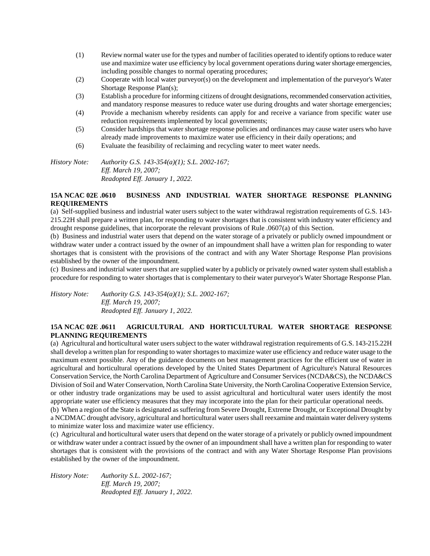- (1) Review normal water use for the types and number of facilities operated to identify options to reduce water use and maximize water use efficiency by local government operations during water shortage emergencies, including possible changes to normal operating procedures;
- (2) Cooperate with local water purveyor(s) on the development and implementation of the purveyor's Water Shortage Response Plan(s);
- (3) Establish a procedure for informing citizens of drought designations, recommended conservation activities, and mandatory response measures to reduce water use during droughts and water shortage emergencies;
- (4) Provide a mechanism whereby residents can apply for and receive a variance from specific water use reduction requirements implemented by local governments;
- (5) Consider hardships that water shortage response policies and ordinances may cause water users who have already made improvements to maximize water use efficiency in their daily operations; and
- (6) Evaluate the feasibility of reclaiming and recycling water to meet water needs.

*History Note: Authority G.S. 143-354(a)(1); S.L. 2002-167; Eff. March 19, 2007; Readopted Eff. January 1, 2022.*

# **15A NCAC 02E .0610 BUSINESS AND INDUSTRIAL WATER SHORTAGE RESPONSE PLANNING REQUIREMENTS**

(a) Self-supplied business and industrial water users subject to the water withdrawal registration requirements of G.S. 143- 215.22H shall prepare a written plan, for responding to water shortages that is consistent with industry water efficiency and drought response guidelines, that incorporate the relevant provisions of Rule .0607(a) of this Section.

(b) Business and industrial water users that depend on the water storage of a privately or publicly owned impoundment or withdraw water under a contract issued by the owner of an impoundment shall have a written plan for responding to water shortages that is consistent with the provisions of the contract and with any Water Shortage Response Plan provisions established by the owner of the impoundment.

(c) Business and industrial water users that are supplied water by a publicly or privately owned water system shall establish a procedure for responding to water shortages that is complementary to their water purveyor's Water Shortage Response Plan.

*History Note: Authority G.S. 143-354(a)(1); S.L. 2002-167; Eff. March 19, 2007; Readopted Eff. January 1, 2022.*

# **15A NCAC 02E .0611 AGRICULTURAL AND HORTICULTURAL WATER SHORTAGE RESPONSE PLANNING REQUIREMENTS**

(a) Agricultural and horticultural water users subject to the water withdrawal registration requirements of G.S. 143-215.22H shall develop a written plan for responding to water shortages to maximize water use efficiency and reduce water usage to the maximum extent possible. Any of the guidance documents on best management practices for the efficient use of water in agricultural and horticultural operations developed by the United States Department of Agriculture's Natural Resources Conservation Service, the North Carolina Department of Agriculture and Consumer Services (NCDA&CS), the NCDA&CS Division of Soil and Water Conservation, North Carolina State University, the North Carolina Cooperative Extension Service, or other industry trade organizations may be used to assist agricultural and horticultural water users identify the most appropriate water use efficiency measures that they may incorporate into the plan for their particular operational needs.

(b) When a region of the State is designated as suffering from Severe Drought, Extreme Drought, or Exceptional Drought by a NCDMAC drought advisory, agricultural and horticultural water users shall reexamine and maintain water delivery systems to minimize water loss and maximize water use efficiency.

(c) Agricultural and horticultural water users that depend on the water storage of a privately or publicly owned impoundment or withdraw water under a contract issued by the owner of an impoundment shall have a written plan for responding to water shortages that is consistent with the provisions of the contract and with any Water Shortage Response Plan provisions established by the owner of the impoundment.

| History Note: | Authority S.L. 2002-167;        |
|---------------|---------------------------------|
|               | <i>Eff. March 19, 2007:</i>     |
|               | Readopted Eff. January 1, 2022. |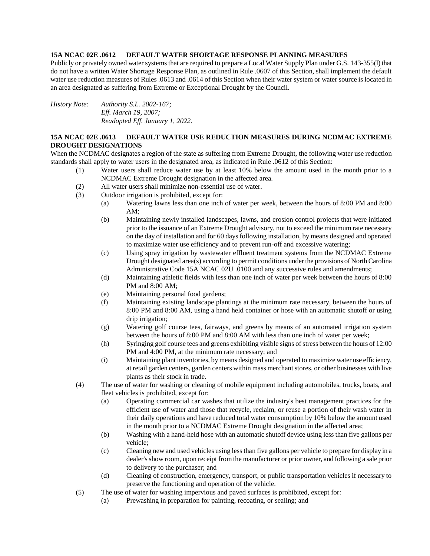## **15A NCAC 02E .0612 DEFAULT WATER SHORTAGE RESPONSE PLANNING MEASURES**

Publicly or privately owned water systems that are required to prepare a Local Water Supply Plan under G.S. 143-355(l) that do not have a written Water Shortage Response Plan, as outlined in Rule .0607 of this Section, shall implement the default water use reduction measures of Rules .0613 and .0614 of this Section when their water system or water source is located in an area designated as suffering from Extreme or Exceptional Drought by the Council.

*History Note: Authority S.L. 2002-167; Eff. March 19, 2007; Readopted Eff. January 1, 2022.*

# **15A NCAC 02E .0613 DEFAULT WATER USE REDUCTION MEASURES DURING NCDMAC EXTREME DROUGHT DESIGNATIONS**

When the NCDMAC designates a region of the state as suffering from Extreme Drought, the following water use reduction standards shall apply to water users in the designated area, as indicated in Rule .0612 of this Section:

- (1) Water users shall reduce water use by at least 10% below the amount used in the month prior to a NCDMAC Extreme Drought designation in the affected area.
- (2) All water users shall minimize non-essential use of water.
- (3) Outdoor irrigation is prohibited, except for:
	- (a) Watering lawns less than one inch of water per week, between the hours of 8:00 PM and 8:00 AM;
	- (b) Maintaining newly installed landscapes, lawns, and erosion control projects that were initiated prior to the issuance of an Extreme Drought advisory, not to exceed the minimum rate necessary on the day of installation and for 60 days following installation, by means designed and operated to maximize water use efficiency and to prevent run-off and excessive watering;
	- (c) Using spray irrigation by wastewater effluent treatment systems from the NCDMAC Extreme Drought designated area(s) according to permit conditions under the provisions of North Carolina Administrative Code 15A NCAC 02U .0100 and any successive rules and amendments;
	- (d) Maintaining athletic fields with less than one inch of water per week between the hours of 8:00 PM and 8:00 AM;
	- (e) Maintaining personal food gardens;
	- (f) Maintaining existing landscape plantings at the minimum rate necessary, between the hours of 8:00 PM and 8:00 AM, using a hand held container or hose with an automatic shutoff or using drip irrigation;
	- (g) Watering golf course tees, fairways, and greens by means of an automated irrigation system between the hours of 8:00 PM and 8:00 AM with less than one inch of water per week;
	- (h) Syringing golf course tees and greens exhibiting visible signs of stress between the hours of 12:00 PM and 4:00 PM, at the minimum rate necessary; and
	- (i) Maintaining plant inventories, by means designed and operated to maximize water use efficiency, at retail garden centers, garden centers within mass merchant stores, or other businesses with live plants as their stock in trade.
- (4) The use of water for washing or cleaning of mobile equipment including automobiles, trucks, boats, and fleet vehicles is prohibited, except for:
	- (a) Operating commercial car washes that utilize the industry's best management practices for the efficient use of water and those that recycle, reclaim, or reuse a portion of their wash water in their daily operations and have reduced total water consumption by 10% below the amount used in the month prior to a NCDMAC Extreme Drought designation in the affected area;
	- (b) Washing with a hand-held hose with an automatic shutoff device using less than five gallons per vehicle;
	- (c) Cleaning new and used vehicles using less than five gallons per vehicle to prepare for display in a dealer's show room, upon receipt from the manufacturer or prior owner, and following a sale prior to delivery to the purchaser; and
	- (d) Cleaning of construction, emergency, transport, or public transportation vehicles if necessary to preserve the functioning and operation of the vehicle.
- (5) The use of water for washing impervious and paved surfaces is prohibited, except for:
	- (a) Prewashing in preparation for painting, recoating, or sealing; and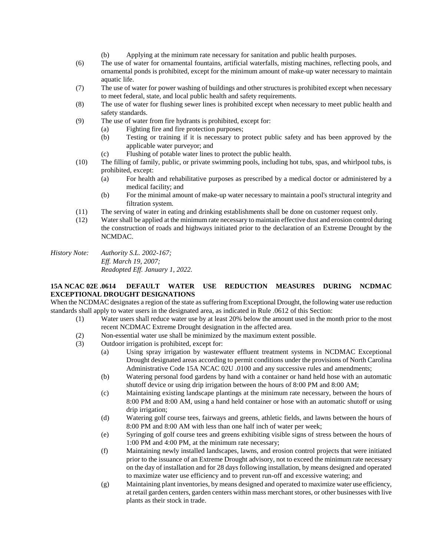- (b) Applying at the minimum rate necessary for sanitation and public health purposes.
- (6) The use of water for ornamental fountains, artificial waterfalls, misting machines, reflecting pools, and ornamental ponds is prohibited, except for the minimum amount of make-up water necessary to maintain aquatic life.
- (7) The use of water for power washing of buildings and other structures is prohibited except when necessary to meet federal, state, and local public health and safety requirements.
- (8) The use of water for flushing sewer lines is prohibited except when necessary to meet public health and safety standards.
- (9) The use of water from fire hydrants is prohibited, except for:
	- (a) Fighting fire and fire protection purposes;
	- (b) Testing or training if it is necessary to protect public safety and has been approved by the applicable water purveyor; and
	- (c) Flushing of potable water lines to protect the public health.
- (10) The filling of family, public, or private swimming pools, including hot tubs, spas, and whirlpool tubs, is prohibited, except:
	- (a) For health and rehabilitative purposes as prescribed by a medical doctor or administered by a medical facility; and
	- (b) For the minimal amount of make-up water necessary to maintain a pool's structural integrity and filtration system.
- (11) The serving of water in eating and drinking establishments shall be done on customer request only.
- (12) Water shall be applied at the minimum rate necessary to maintain effective dust and erosion control during the construction of roads and highways initiated prior to the declaration of an Extreme Drought by the NCMDAC.

*History Note: Authority S.L. 2002-167; Eff. March 19, 2007; Readopted Eff. January 1, 2022.*

# **15A NCAC 02E .0614 DEFAULT WATER USE REDUCTION MEASURES DURING NCDMAC EXCEPTIONAL DROUGHT DESIGNATIONS**

When the NCDMAC designates a region of the state as suffering from Exceptional Drought, the following water use reduction standards shall apply to water users in the designated area, as indicated in Rule .0612 of this Section:

- (1) Water users shall reduce water use by at least 20% below the amount used in the month prior to the most recent NCDMAC Extreme Drought designation in the affected area.
- (2) Non-essential water use shall be minimized by the maximum extent possible.
- (3) Outdoor irrigation is prohibited, except for:
	- (a) Using spray irrigation by wastewater effluent treatment systems in NCDMAC Exceptional Drought designated areas according to permit conditions under the provisions of North Carolina Administrative Code 15A NCAC 02U .0100 and any successive rules and amendments;
	- (b) Watering personal food gardens by hand with a container or hand held hose with an automatic shutoff device or using drip irrigation between the hours of 8:00 PM and 8:00 AM;
	- (c) Maintaining existing landscape plantings at the minimum rate necessary, between the hours of 8:00 PM and 8:00 AM, using a hand held container or hose with an automatic shutoff or using drip irrigation;
	- (d) Watering golf course tees, fairways and greens, athletic fields, and lawns between the hours of 8:00 PM and 8:00 AM with less than one half inch of water per week;
	- (e) Syringing of golf course tees and greens exhibiting visible signs of stress between the hours of 1:00 PM and 4:00 PM, at the minimum rate necessary;
	- (f) Maintaining newly installed landscapes, lawns, and erosion control projects that were initiated prior to the issuance of an Extreme Drought advisory, not to exceed the minimum rate necessary on the day of installation and for 28 days following installation, by means designed and operated to maximize water use efficiency and to prevent run-off and excessive watering; and
	- (g) Maintaining plant inventories, by means designed and operated to maximize water use efficiency, at retail garden centers, garden centers within mass merchant stores, or other businesses with live plants as their stock in trade.